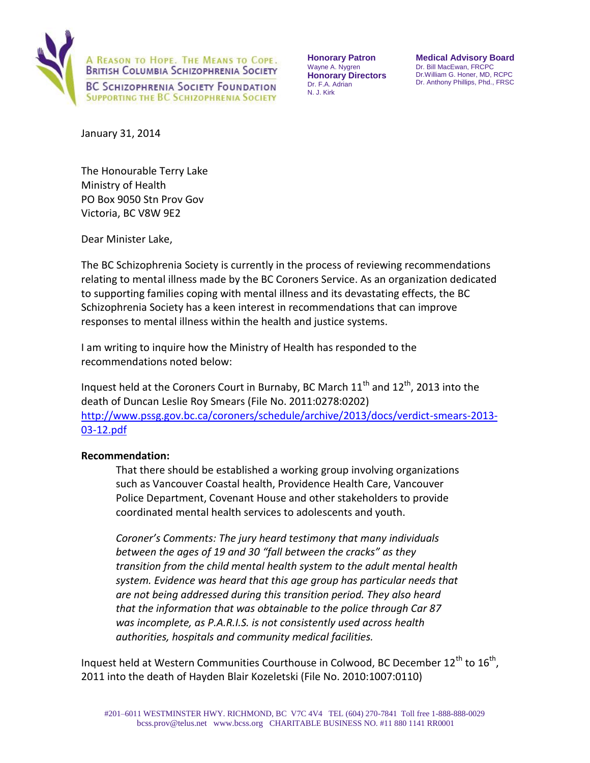

A REASON TO HOPE. THE MEANS TO COPE. **BRITISH COLUMBIA SCHIZOPHRENIA SOCIETY** 

**BC SCHIZOPHRENIA SOCIETY FOUNDATION SUPPORTING THE BC SCHIZOPHRENIA SOCIETY** 

**Honorary Patron**  Wayne A. Nygren **Honorary Directors**  Dr. F.A. Adrian N. J. Kirk

**Medical Advisory Board**  Dr. Bill MacEwan, FRCPC Dr.William G. Honer, MD, RCPC Dr. Anthony Phillips, Phd., FRSC

January 31, 2014

The Honourable Terry Lake Ministry of Health PO Box 9050 Stn Prov Gov Victoria, BC V8W 9E2

Dear Minister Lake,

The BC Schizophrenia Society is currently in the process of reviewing recommendations relating to mental illness made by the BC Coroners Service. As an organization dedicated to supporting families coping with mental illness and its devastating effects, the BC Schizophrenia Society has a keen interest in recommendations that can improve responses to mental illness within the health and justice systems.

I am writing to inquire how the Ministry of Health has responded to the recommendations noted below:

Inquest held at the Coroners Court in Burnaby, BC March  $11<sup>th</sup>$  and  $12<sup>th</sup>$ , 2013 into the death of Duncan Leslie Roy Smears (File No. 2011:0278:0202) [http://www.pssg.gov.bc.ca/coroners/schedule/archive/2013/docs/verdict-smears-2013-](http://www.pssg.gov.bc.ca/coroners/schedule/archive/2013/docs/verdict-smears-2013-03-12.pdf) [03-12.pdf](http://www.pssg.gov.bc.ca/coroners/schedule/archive/2013/docs/verdict-smears-2013-03-12.pdf)

# **Recommendation:**

That there should be established a working group involving organizations such as Vancouver Coastal health, Providence Health Care, Vancouver Police Department, Covenant House and other stakeholders to provide coordinated mental health services to adolescents and youth.

*Coroner's Comments: The jury heard testimony that many individuals between the ages of 19 and 30 "fall between the cracks" as they transition from the child mental health system to the adult mental health system. Evidence was heard that this age group has particular needs that are not being addressed during this transition period. They also heard that the information that was obtainable to the police through Car 87 was incomplete, as P.A.R.I.S. is not consistently used across health authorities, hospitals and community medical facilities.* 

Inquest held at Western Communities Courthouse in Colwood, BC December  $12^{th}$  to  $16^{th}$ , 2011 into the death of Hayden Blair Kozeletski (File No. 2010:1007:0110)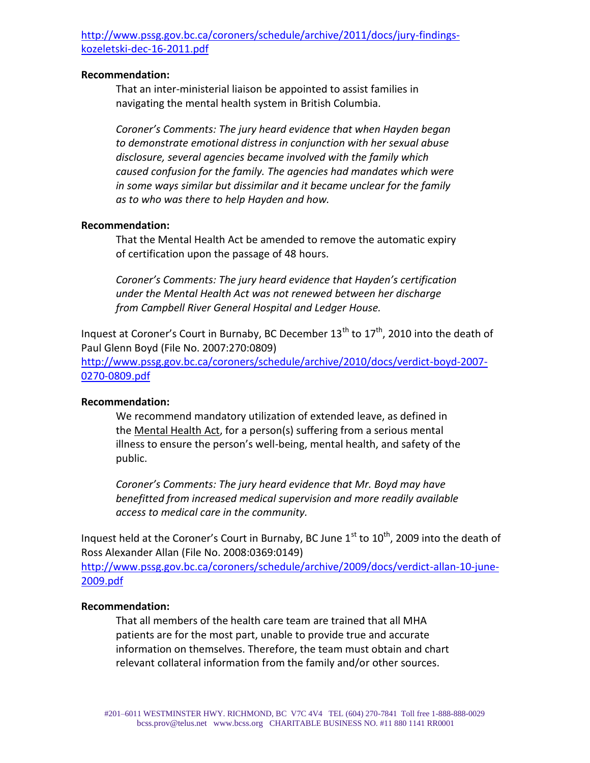[http://www.pssg.gov.bc.ca/coroners/schedule/archive/2011/docs/jury-findings](http://www.pssg.gov.bc.ca/coroners/schedule/archive/2011/docs/jury-findings-kozeletski-dec-16-2011.pdf)[kozeletski-dec-16-2011.pdf](http://www.pssg.gov.bc.ca/coroners/schedule/archive/2011/docs/jury-findings-kozeletski-dec-16-2011.pdf)

### **Recommendation:**

That an inter-ministerial liaison be appointed to assist families in navigating the mental health system in British Columbia.

*Coroner's Comments: The jury heard evidence that when Hayden began to demonstrate emotional distress in conjunction with her sexual abuse disclosure, several agencies became involved with the family which caused confusion for the family. The agencies had mandates which were in some ways similar but dissimilar and it became unclear for the family as to who was there to help Hayden and how.* 

#### **Recommendation:**

That the Mental Health Act be amended to remove the automatic expiry of certification upon the passage of 48 hours.

*Coroner's Comments: The jury heard evidence that Hayden's certification under the Mental Health Act was not renewed between her discharge from Campbell River General Hospital and Ledger House.*

Inquest at Coroner's Court in Burnaby, BC December  $13<sup>th</sup>$  to  $17<sup>th</sup>$ , 2010 into the death of Paul Glenn Boyd (File No. 2007:270:0809)

[http://www.pssg.gov.bc.ca/coroners/schedule/archive/2010/docs/verdict-boyd-2007-](http://www.pssg.gov.bc.ca/coroners/schedule/archive/2010/docs/verdict-boyd-2007-0270-0809.pdf) [0270-0809.pdf](http://www.pssg.gov.bc.ca/coroners/schedule/archive/2010/docs/verdict-boyd-2007-0270-0809.pdf)

# **Recommendation:**

We recommend mandatory utilization of extended leave, as defined in the Mental Health Act, for a person(s) suffering from a serious mental illness to ensure the person's well-being, mental health, and safety of the public.

*Coroner's Comments: The jury heard evidence that Mr. Boyd may have benefitted from increased medical supervision and more readily available access to medical care in the community.*

Inquest held at the Coroner's Court in Burnaby, BC June  $1<sup>st</sup>$  to  $10<sup>th</sup>$ , 2009 into the death of Ross Alexander Allan (File No. 2008:0369:0149)

[http://www.pssg.gov.bc.ca/coroners/schedule/archive/2009/docs/verdict-allan-10-june-](http://www.pssg.gov.bc.ca/coroners/schedule/archive/2009/docs/verdict-allan-10-june-2009.pdf)[2009.pdf](http://www.pssg.gov.bc.ca/coroners/schedule/archive/2009/docs/verdict-allan-10-june-2009.pdf)

#### **Recommendation:**

That all members of the health care team are trained that all MHA patients are for the most part, unable to provide true and accurate information on themselves. Therefore, the team must obtain and chart relevant collateral information from the family and/or other sources.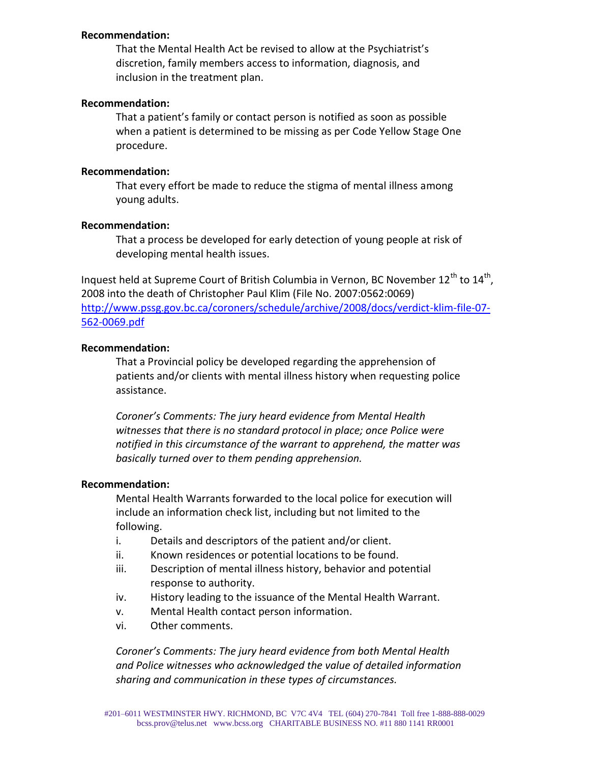### **Recommendation:**

That the Mental Health Act be revised to allow at the Psychiatrist's discretion, family members access to information, diagnosis, and inclusion in the treatment plan.

# **Recommendation:**

That a patient's family or contact person is notified as soon as possible when a patient is determined to be missing as per Code Yellow Stage One procedure.

### **Recommendation:**

That every effort be made to reduce the stigma of mental illness among young adults.

## **Recommendation:**

That a process be developed for early detection of young people at risk of developing mental health issues.

Inquest held at Supreme Court of British Columbia in Vernon, BC November  $12^{th}$  to  $14^{th}$ , 2008 into the death of Christopher Paul Klim (File No. 2007:0562:0069) [http://www.pssg.gov.bc.ca/coroners/schedule/archive/2008/docs/verdict-klim-file-07-](http://www.pssg.gov.bc.ca/coroners/schedule/archive/2008/docs/verdict-klim-file-07-562-0069.pdf) [562-0069.pdf](http://www.pssg.gov.bc.ca/coroners/schedule/archive/2008/docs/verdict-klim-file-07-562-0069.pdf)

#### **Recommendation:**

That a Provincial policy be developed regarding the apprehension of patients and/or clients with mental illness history when requesting police assistance.

*Coroner's Comments: The jury heard evidence from Mental Health witnesses that there is no standard protocol in place; once Police were notified in this circumstance of the warrant to apprehend, the matter was basically turned over to them pending apprehension.*

# **Recommendation:**

Mental Health Warrants forwarded to the local police for execution will include an information check list, including but not limited to the following.

- i. Details and descriptors of the patient and/or client.
- ii. Known residences or potential locations to be found.
- iii. Description of mental illness history, behavior and potential response to authority.
- iv. History leading to the issuance of the Mental Health Warrant.
- v. Mental Health contact person information.
- vi. Other comments.

*Coroner's Comments: The jury heard evidence from both Mental Health and Police witnesses who acknowledged the value of detailed information sharing and communication in these types of circumstances.*